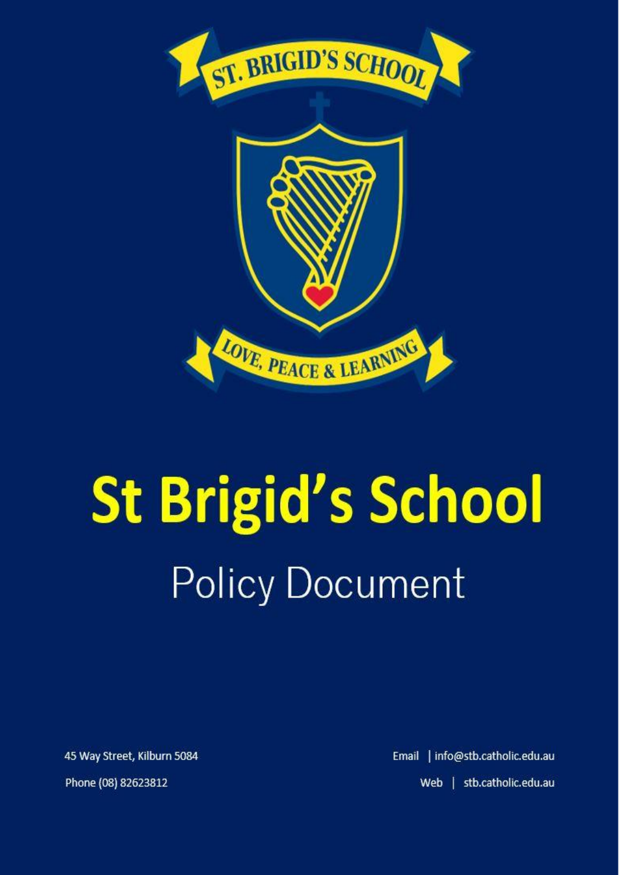

# **St Brigid's School Policy Document**

45 Way Street, Kilburn 5084

Phone (08) 82623812

Email | info@stb.catholic.edu.au Web | stb.catholic.edu.au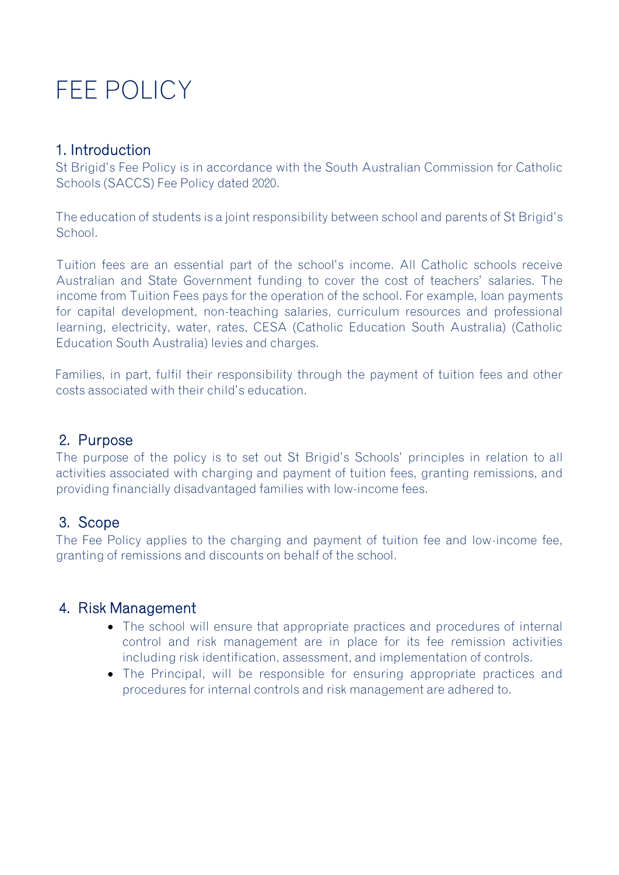# FEE POLICY

### 1. Introduction

St Brigid's Fee Policy is in accordance with the South Australian Commission for Catholic Schools (SACCS) Fee Policy dated 2020.

The education of students is a joint responsibility between school and parents of St Brigid's School.

Tuition fees are an essential part of the school's income. All Catholic schools receive Australian and State Government funding to cover the cost of teachers' salaries. The income from Tuition Fees pays for the operation of the school. For example, loan payments for capital development, non-teaching salaries, curriculum resources and professional learning, electricity, water, rates, CESA (Catholic Education South Australia) (Catholic Education South Australia) levies and charges.

Families, in part, fulfil their responsibility through the payment of tuition fees and other costs associated with their child's education.

#### 2. Purpose

The purpose of the policy is to set out St Brigid's Schools' principles in relation to all activities associated with charging and payment of tuition fees, granting remissions, and providing financially disadvantaged families with low-income fees.

#### 3. Scope

The Fee Policy applies to the charging and payment of tuition fee and low-income fee, granting of remissions and discounts on behalf of the school.

#### 4. Risk Management

- The school will ensure that appropriate practices and procedures of internal control and risk management are in place for its fee remission activities including risk identification, assessment, and implementation of controls.
- The Principal, will be responsible for ensuring appropriate practices and procedures for internal controls and risk management are adhered to.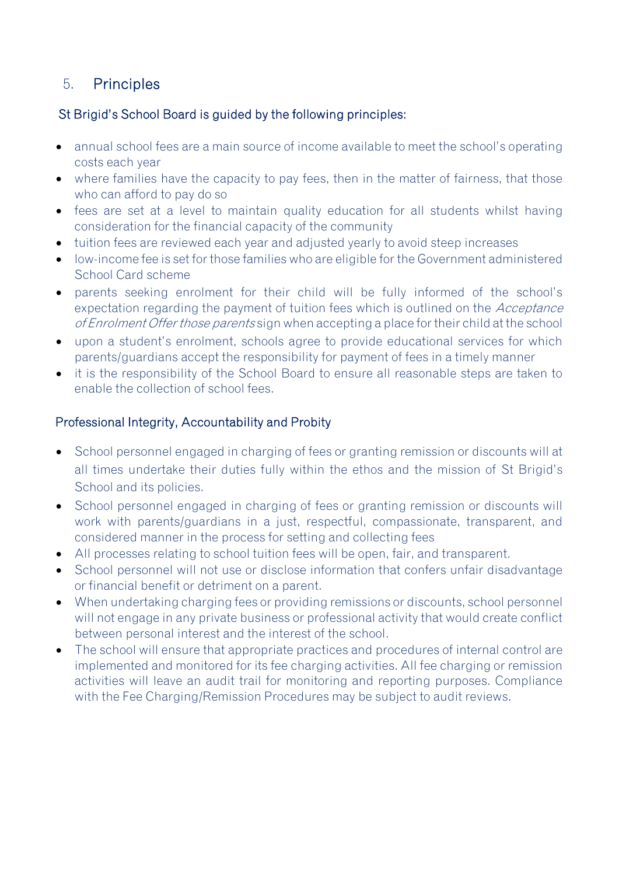# 5. Principles

#### St Brigid's School Board is guided by the following principles:

- annual school fees are a main source of income available to meet the school's operating costs each year
- where families have the capacity to pay fees, then in the matter of fairness, that those who can afford to pay do so
- fees are set at a level to maintain quality education for all students whilst having consideration for the financial capacity of the community
- tuition fees are reviewed each year and adjusted yearly to avoid steep increases
- low-income fee is set for those families who are eligible for the Government administered School Card scheme
- parents seeking enrolment for their child will be fully informed of the school's expectation regarding the payment of tuition fees which is outlined on the *Acceptance* of Enrolment Offer those parents sign when accepting a place for their child at the school
- upon a student's enrolment, schools agree to provide educational services for which parents/guardians accept the responsibility for payment of fees in a timely manner
- it is the responsibility of the School Board to ensure all reasonable steps are taken to enable the collection of school fees.

#### Professional Integrity, Accountability and Probity

- School personnel engaged in charging of fees or granting remission or discounts will at all times undertake their duties fully within the ethos and the mission of St Brigid's School and its policies.
- School personnel engaged in charging of fees or granting remission or discounts will work with parents/guardians in a just, respectful, compassionate, transparent, and considered manner in the process for setting and collecting fees
- All processes relating to school tuition fees will be open, fair, and transparent.
- School personnel will not use or disclose information that confers unfair disadvantage or financial benefit or detriment on a parent.
- When undertaking charging fees or providing remissions or discounts, school personnel will not engage in any private business or professional activity that would create conflict between personal interest and the interest of the school.
- The school will ensure that appropriate practices and procedures of internal control are implemented and monitored for its fee charging activities. All fee charging or remission activities will leave an audit trail for monitoring and reporting purposes. Compliance with the Fee Charging/Remission Procedures may be subject to audit reviews.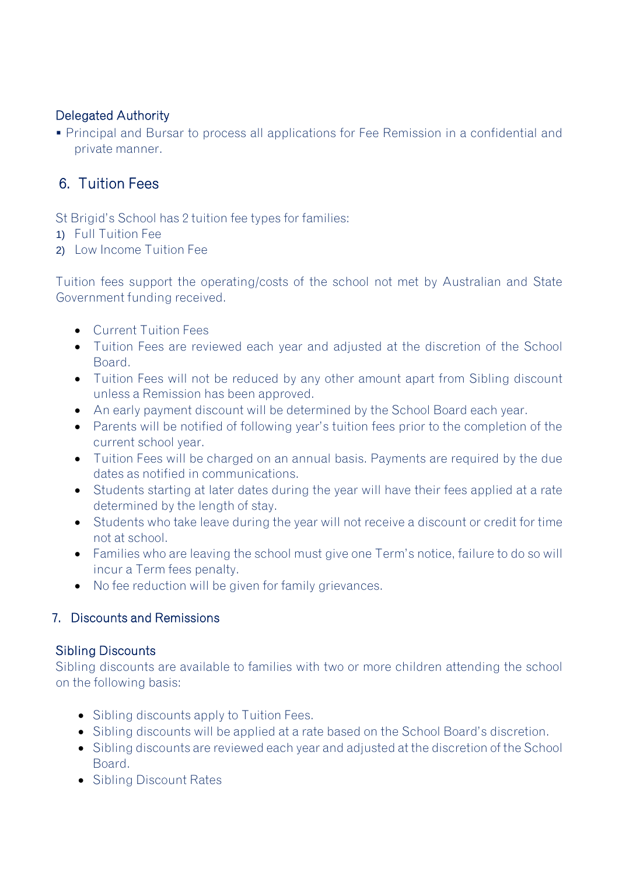#### Delegated Authority

▪ Principal and Bursar to process all applications for Fee Remission in a confidential and private manner.

## 6. Tuition Fees

St Brigid's School has 2 tuition fee types for families:

- 1) Full Tuition Fee
- 2) Low Income Tuition Fee

Tuition fees support the operating/costs of the school not met by Australian and State Government funding received.

- Current Tuition Fees
- Tuition Fees are reviewed each year and adjusted at the discretion of the School **Board**
- Tuition Fees will not be reduced by any other amount apart from Sibling discount unless a Remission has been approved.
- An early payment discount will be determined by the School Board each year.
- Parents will be notified of following year's tuition fees prior to the completion of the current school year.
- Tuition Fees will be charged on an annual basis. Payments are required by the due dates as notified in communications.
- Students starting at later dates during the year will have their fees applied at a rate determined by the length of stay.
- Students who take leave during the year will not receive a discount or credit for time not at school.
- Families who are leaving the school must give one Term's notice, failure to do so will incur a Term fees penalty.
- No fee reduction will be given for family grievances.

#### 7. Discounts and Remissions

#### Sibling Discounts

Sibling discounts are available to families with two or more children attending the school on the following basis:

- Sibling discounts apply to Tuition Fees.
- Sibling discounts will be applied at a rate based on the School Board's discretion.
- Sibling discounts are reviewed each year and adjusted at the discretion of the School Board.
- Sibling Discount Rates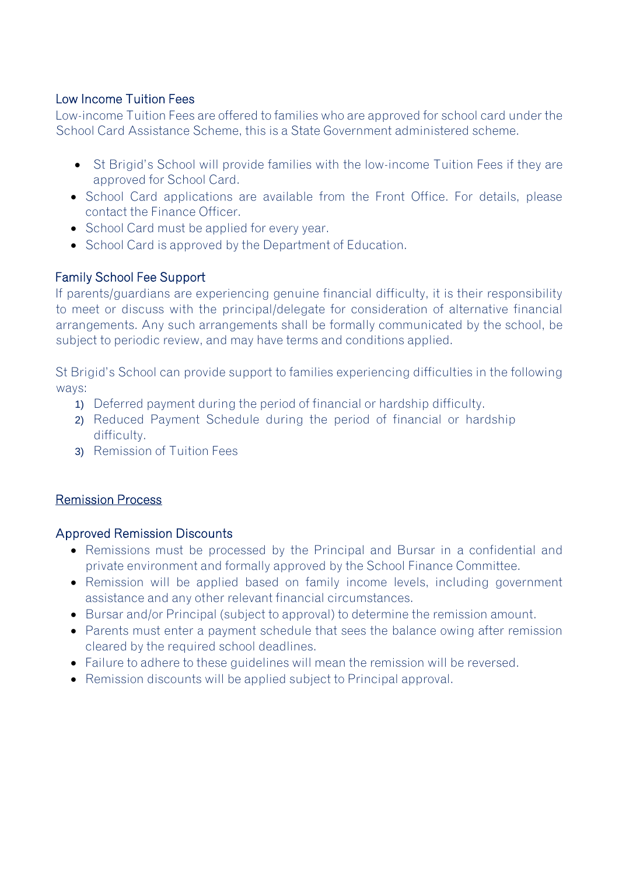#### Low Income Tuition Fees

Low-income Tuition Fees are offered to families who are approved for school card under the School Card Assistance Scheme, this is a State Government administered scheme.

- St Brigid's School will provide families with the low-income Tuition Fees if they are approved for School Card.
- School Card applications are available from the Front Office. For details, please contact the Finance Officer.
- School Card must be applied for every year.
- School Card is approved by the Department of Education.

#### Family School Fee Support

If parents/guardians are experiencing genuine financial difficulty, it is their responsibility to meet or discuss with the principal/delegate for consideration of alternative financial arrangements. Any such arrangements shall be formally communicated by the school, be subject to periodic review, and may have terms and conditions applied.

St Brigid's School can provide support to families experiencing difficulties in the following ways:

- 1) Deferred payment during the period of financial or hardship difficulty.
- 2) Reduced Payment Schedule during the period of financial or hardship difficulty.
- 3) Remission of Tuition Fees

#### Remission Process

#### Approved Remission Discounts

- Remissions must be processed by the Principal and Bursar in a confidential and private environment and formally approved by the School Finance Committee.
- Remission will be applied based on family income levels, including government assistance and any other relevant financial circumstances.
- Bursar and/or Principal (subject to approval) to determine the remission amount.
- Parents must enter a payment schedule that sees the balance owing after remission cleared by the required school deadlines.
- Failure to adhere to these guidelines will mean the remission will be reversed.
- Remission discounts will be applied subject to Principal approval.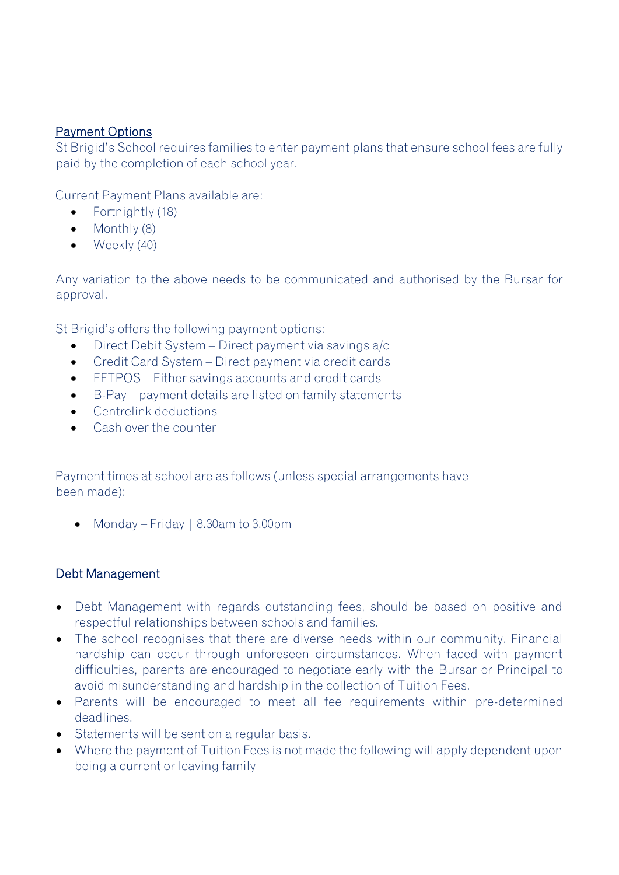#### Payment Options

St Brigid's School requires families to enter payment plans that ensure school fees are fully paid by the completion of each school year.

Current Payment Plans available are:

- Fortnightly (18)
- Monthly (8)
- $\bullet$  Weekly (40)

Any variation to the above needs to be communicated and authorised by the Bursar for approval.

St Brigid's offers the following payment options:

- Direct Debit System Direct payment via savings a/c
- Credit Card System Direct payment via credit cards
- EFTPOS Either savings accounts and credit cards
- B-Pay payment details are listed on family statements
- Centrelink deductions
- Cash over the counter

Payment times at school are as follows (unless special arrangements have been made):

• Monday – Friday | 8.30am to 3.00pm

#### Debt Management

- Debt Management with regards outstanding fees, should be based on positive and respectful relationships between schools and families.
- The school recognises that there are diverse needs within our community. Financial hardship can occur through unforeseen circumstances. When faced with payment difficulties, parents are encouraged to negotiate early with the Bursar or Principal to avoid misunderstanding and hardship in the collection of Tuition Fees.
- Parents will be encouraged to meet all fee requirements within pre-determined deadlines.
- Statements will be sent on a regular basis.
- Where the payment of Tuition Fees is not made the following will apply dependent upon being a current or leaving family